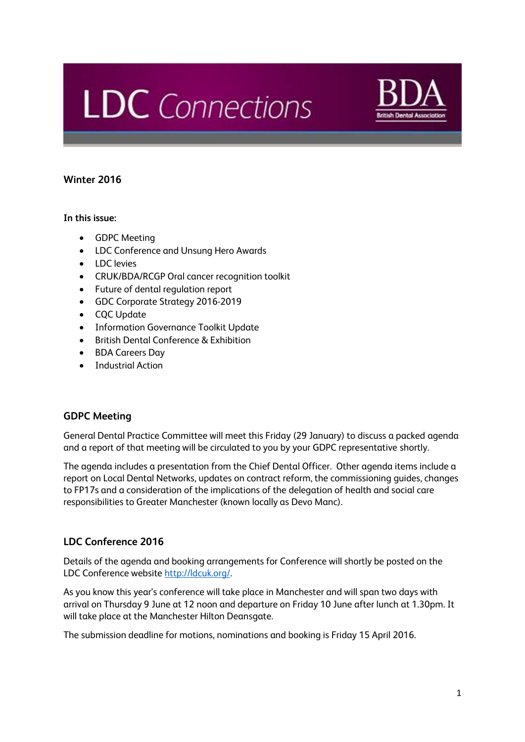# **LDC** Connections



# **Winter 2016**

# **In this issue:**

- GDPC Meeting
- LDC Conference and Unsung Hero Awards
- LDC levies
- CRUK/BDA/RCGP Oral cancer recognition toolkit
- Future of dental regulation report
- GDC Corporate Strategy 2016-2019
- CQC Update
- Information Governance Toolkit Update
- British Dental Conference & Exhibition
- BDA Careers Day
- Industrial Action

# **GDPC Meeting**

General Dental Practice Committee will meet this Friday (29 January) to discuss a packed agenda and a report of that meeting will be circulated to you by your GDPC representative shortly.

The agenda includes a presentation from the Chief Dental Officer. Other agenda items include a report on Local Dental Networks, updates on contract reform, the commissioning guides, changes to FP17s and a consideration of the implications of the delegation of health and social care responsibilities to Greater Manchester (known locally as Devo Manc).

# **LDC Conference 2016**

Details of the agenda and booking arrangements for Conference will shortly be posted on the LDC Conference websit[e http://ldcuk.org/.](http://ldcuk.org/)

As you know this year's conference will take place in Manchester and will span two days with arrival on Thursday 9 June at 12 noon and departure on Friday 10 June after lunch at 1.30pm. It will take place at the Manchester Hilton Deansgate.

The submission deadline for motions, nominations and booking is Friday 15 April 2016.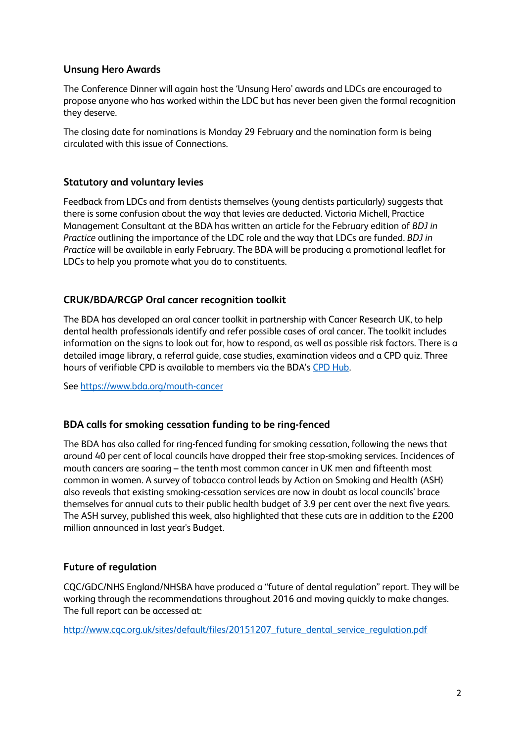# **Unsung Hero Awards**

The Conference Dinner will again host the 'Unsung Hero' awards and LDCs are encouraged to propose anyone who has worked within the LDC but has never been given the formal recognition they deserve.

The closing date for nominations is Monday 29 February and the nomination form is being circulated with this issue of Connections.

#### **Statutory and voluntary levies**

Feedback from LDCs and from dentists themselves (young dentists particularly) suggests that there is some confusion about the way that levies are deducted. Victoria Michell, Practice Management Consultant at the BDA has written an article for the February edition of *BDJ in Practice* outlining the importance of the LDC role and the way that LDCs are funded. *BDJ in Practice* will be available in early February. The BDA will be producing a promotional leaflet for LDCs to help you promote what you do to constituents.

# **CRUK/BDA/RCGP Oral cancer recognition toolkit**

The BDA has developed an oral cancer toolkit in partnership with Cancer Research UK, to help dental health professionals identify and refer possible cases of oral cancer. The toolkit includes information on the signs to look out for, how to respond, as well as possible risk factors. There is a detailed image library, a referral guide, case studies, examination videos and a CPD quiz. Three hours of verifiable CPD is available to members via the BDA's [CPD Hub.](http://cpd.bda.org/)

See<https://www.bda.org/mouth-cancer>

# **BDA calls for smoking cessation funding to be ring-fenced**

The BDA has also called for ring-fenced funding for smoking cessation, following the news that around 40 per cent of local councils have dropped their free stop-smoking services. Incidences of mouth cancers are soaring – the tenth most common cancer in UK men and fifteenth most common in women. A survey of tobacco control leads by Action on Smoking and Health (ASH) also reveals that existing smoking-cessation services are now in doubt as local councils' brace themselves for annual cuts to their public health budget of 3.9 per cent over the next five years. The ASH survey, published this week, also highlighted that these cuts are in addition to the £200 million announced in last year's Budget.

# **Future of regulation**

CQC/GDC/NHS England/NHSBA have produced a "future of dental regulation" report. They will be working through the recommendations throughout 2016 and moving quickly to make changes. The full report can be accessed at:

http://www.cqc.org.uk/sites/default/files/20151207 future\_dental\_service\_regulation.pdf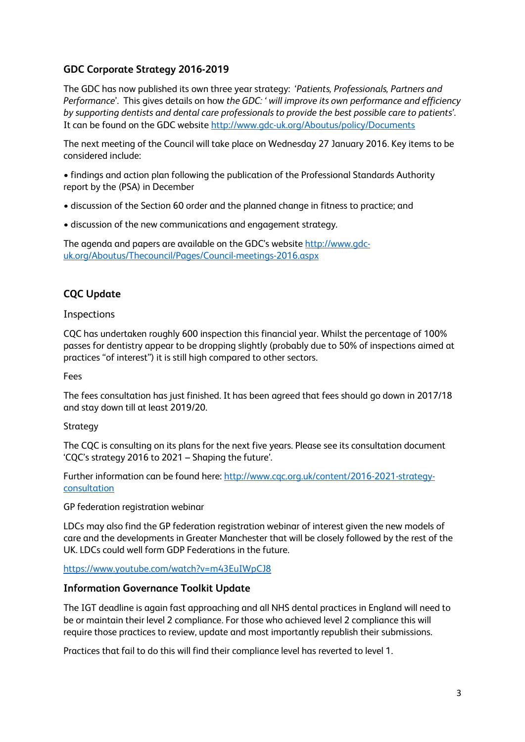# **GDC Corporate Strategy 2016-2019**

The GDC has now published its own three year strategy: '*Patients, Professionals, Partners and Performance*'. This gives details on how *the GDC: ' will improve its own performance and efficiency by supporting dentists and dental care professionals to provide the best possible care to patients'*. It can be found on the GDC website <http://www.gdc-uk.org/Aboutus/policy/Documents>

The next meeting of the Council will take place on Wednesday 27 January 2016. Key items to be considered include:

• findings and action plan following the publication of the Professional Standards Authority report by the (PSA) in December

- discussion of the Section 60 order and the planned change in fitness to practice; and
- discussion of the new communications and engagement strategy.

The agenda and papers are available on the GDC's website [http://www.gdc](http://www.gdc-uk.org/Aboutus/Thecouncil/Pages/Council-meetings-2016.aspx)[uk.org/Aboutus/Thecouncil/Pages/Council-meetings-2016.aspx](http://www.gdc-uk.org/Aboutus/Thecouncil/Pages/Council-meetings-2016.aspx)

# **CQC Update**

#### Inspections

CQC has undertaken roughly 600 inspection this financial year. Whilst the percentage of 100% passes for dentistry appear to be dropping slightly (probably due to 50% of inspections aimed at practices "of interest") it is still high compared to other sectors.

#### Fees

The fees consultation has just finished. It has been agreed that fees should go down in 2017/18 and stay down till at least 2019/20.

#### Strategy

The CQC is consulting on its plans for the next five years. Please see its consultation document 'CQC's strategy 2016 to 2021 – Shaping the future'.

Further information can be found here: [http://www.cqc.org.uk/content/2016-2021-strategy](http://www.cqc.org.uk/content/2016-2021-strategy-consultation)[consultation](http://www.cqc.org.uk/content/2016-2021-strategy-consultation)

GP federation registration webinar

LDCs may also find the GP federation registration webinar of interest given the new models of care and the developments in Greater Manchester that will be closely followed by the rest of the UK. LDCs could well form GDP Federations in the future.

#### <https://www.youtube.com/watch?v=m43EuIWpCJ8>

#### **Information Governance Toolkit Update**

The IGT deadline is again fast approaching and all NHS dental practices in England will need to be or maintain their level 2 compliance. For those who achieved level 2 compliance this will require those practices to review, update and most importantly republish their submissions.

Practices that fail to do this will find their compliance level has reverted to level 1.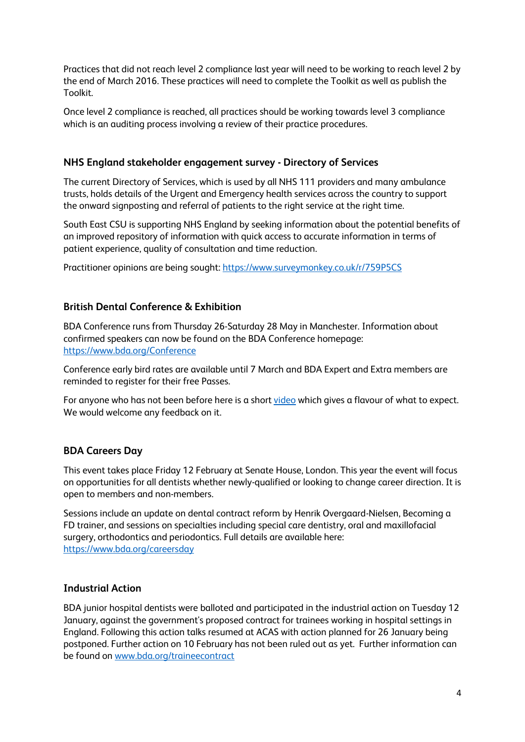Practices that did not reach level 2 compliance last year will need to be working to reach level 2 by the end of March 2016. These practices will need to complete the Toolkit as well as publish the Toolkit.

Once level 2 compliance is reached, all practices should be working towards level 3 compliance which is an auditing process involving a review of their practice procedures.

# **NHS England stakeholder engagement survey - Directory of Services**

The current Directory of Services, which is used by all NHS 111 providers and many ambulance trusts, holds details of the Urgent and Emergency health services across the country to support the onward signposting and referral of patients to the right service at the right time.

South East CSU is supporting NHS England by seeking information about the potential benefits of an improved repository of information with quick access to accurate information in terms of patient experience, quality of consultation and time reduction.

Practitioner opinions are being sought[: https://www.surveymonkey.co.uk/r/759P5CS](https://www.surveymonkey.co.uk/r/759P5CS)

# **British Dental Conference & Exhibition**

BDA Conference runs from Thursday 26-Saturday 28 May in Manchester. Information about confirmed speakers can now be found on the BDA Conference homepage: <https://www.bda.org/Conference>

Conference early bird rates are available until 7 March and BDA Expert and Extra members are reminded to register for their free Passes.

For anyone who has not been before here is a shor[t video](https://www.bda.org/conference/Pages/Home.aspx#vid) which gives a flavour of what to expect. We would welcome any feedback on it.

# **BDA Careers Day**

This event takes place Friday 12 February at Senate House, London. This year the event will focus on opportunities for all dentists whether newly-qualified or looking to change career direction. It is open to members and non-members.

Sessions include an update on dental contract reform by Henrik Overgaard-Nielsen, Becoming a FD trainer, and sessions on specialties including special care dentistry, oral and maxillofacial surgery, orthodontics and periodontics. Full details are available here: <https://www.bda.org/careersday>

# **Industrial Action**

BDA junior hospital dentists were balloted and participated in the industrial action on Tuesday 12 January, against the government's proposed contract for trainees working in hospital settings in England. Following this action talks resumed at ACAS with action planned for 26 January being postponed. Further action on 10 February has not been ruled out as yet. Further information can be found on [www.bda.org/traineecontract](http://www.bda.org/traineecontract)